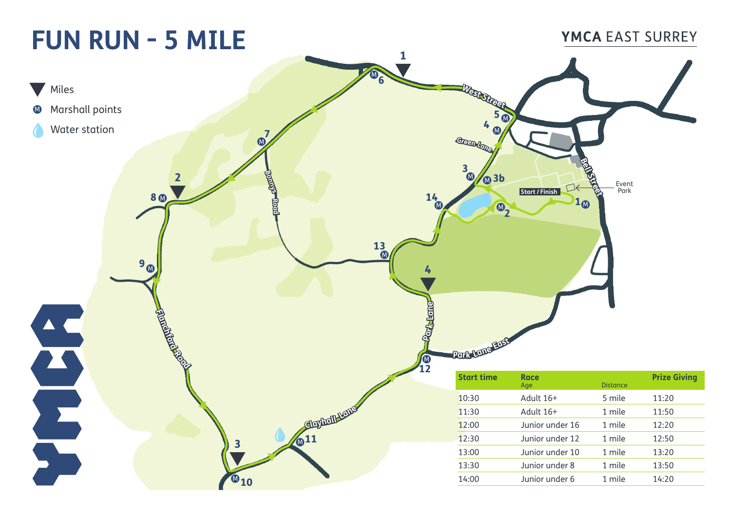